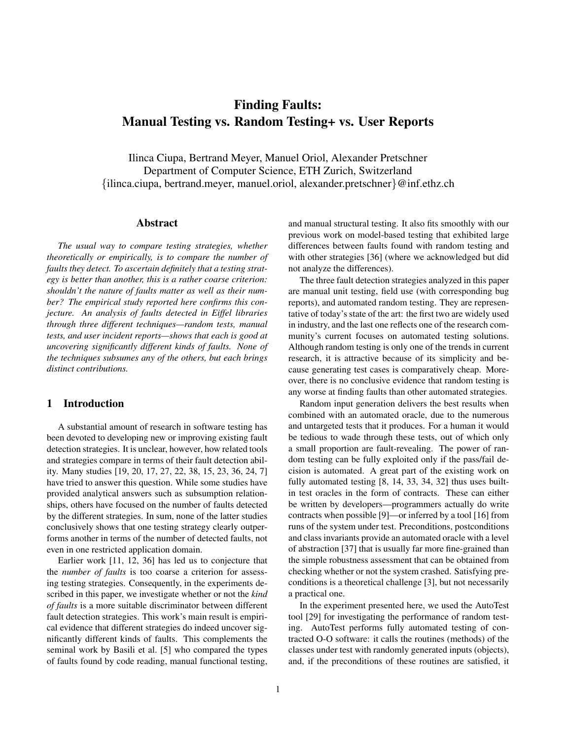# Finding Faults: Manual Testing vs. Random Testing+ vs. User Reports

Ilinca Ciupa, Bertrand Meyer, Manuel Oriol, Alexander Pretschner Department of Computer Science, ETH Zurich, Switzerland {ilinca.ciupa, bertrand.meyer, manuel.oriol, alexander.pretschner}@inf.ethz.ch

# Abstract

*The usual way to compare testing strategies, whether theoretically or empirically, is to compare the number of faults they detect. To ascertain definitely that a testing strategy is better than another, this is a rather coarse criterion: shouldn't the nature of faults matter as well as their number? The empirical study reported here confirms this conjecture. An analysis of faults detected in Eiffel libraries through three different techniques—random tests, manual tests, and user incident reports—shows that each is good at uncovering significantly different kinds of faults. None of the techniques subsumes any of the others, but each brings distinct contributions.*

## 1 Introduction

A substantial amount of research in software testing has been devoted to developing new or improving existing fault detection strategies. It is unclear, however, how related tools and strategies compare in terms of their fault detection ability. Many studies [19, 20, 17, 27, 22, 38, 15, 23, 36, 24, 7] have tried to answer this question. While some studies have provided analytical answers such as subsumption relationships, others have focused on the number of faults detected by the different strategies. In sum, none of the latter studies conclusively shows that one testing strategy clearly outperforms another in terms of the number of detected faults, not even in one restricted application domain.

Earlier work [11, 12, 36] has led us to conjecture that the *number of faults* is too coarse a criterion for assessing testing strategies. Consequently, in the experiments described in this paper, we investigate whether or not the *kind of faults* is a more suitable discriminator between different fault detection strategies. This work's main result is empirical evidence that different strategies do indeed uncover significantly different kinds of faults. This complements the seminal work by Basili et al. [5] who compared the types of faults found by code reading, manual functional testing,

and manual structural testing. It also fits smoothly with our previous work on model-based testing that exhibited large differences between faults found with random testing and with other strategies [36] (where we acknowledged but did not analyze the differences).

The three fault detection strategies analyzed in this paper are manual unit testing, field use (with corresponding bug reports), and automated random testing. They are representative of today's state of the art: the first two are widely used in industry, and the last one reflects one of the research community's current focuses on automated testing solutions. Although random testing is only one of the trends in current research, it is attractive because of its simplicity and because generating test cases is comparatively cheap. Moreover, there is no conclusive evidence that random testing is any worse at finding faults than other automated strategies.

Random input generation delivers the best results when combined with an automated oracle, due to the numerous and untargeted tests that it produces. For a human it would be tedious to wade through these tests, out of which only a small proportion are fault-revealing. The power of random testing can be fully exploited only if the pass/fail decision is automated. A great part of the existing work on fully automated testing [8, 14, 33, 34, 32] thus uses builtin test oracles in the form of contracts. These can either be written by developers—programmers actually do write contracts when possible [9]—or inferred by a tool [16] from runs of the system under test. Preconditions, postconditions and class invariants provide an automated oracle with a level of abstraction [37] that is usually far more fine-grained than the simple robustness assessment that can be obtained from checking whether or not the system crashed. Satisfying preconditions is a theoretical challenge [3], but not necessarily a practical one.

In the experiment presented here, we used the AutoTest tool [29] for investigating the performance of random testing. AutoTest performs fully automated testing of contracted O-O software: it calls the routines (methods) of the classes under test with randomly generated inputs (objects), and, if the preconditions of these routines are satisfied, it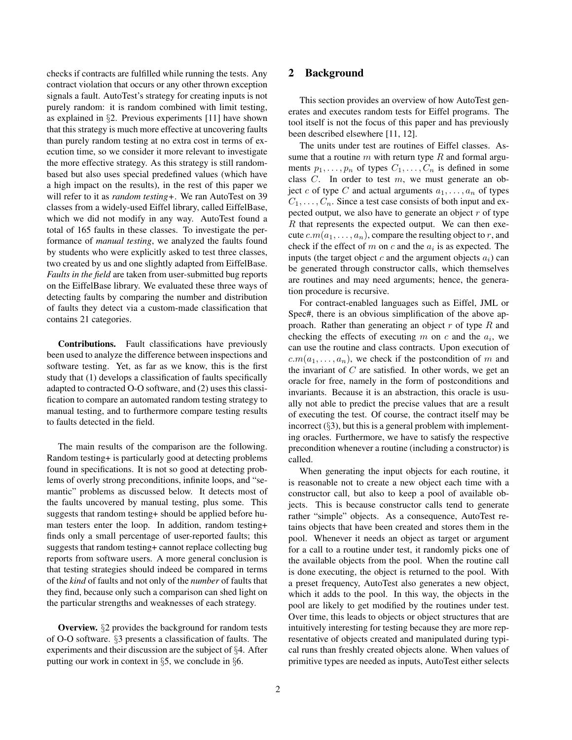checks if contracts are fulfilled while running the tests. Any contract violation that occurs or any other thrown exception signals a fault. AutoTest's strategy for creating inputs is not purely random: it is random combined with limit testing, as explained in §2. Previous experiments [11] have shown that this strategy is much more effective at uncovering faults than purely random testing at no extra cost in terms of execution time, so we consider it more relevant to investigate the more effective strategy. As this strategy is still randombased but also uses special predefined values (which have a high impact on the results), in the rest of this paper we will refer to it as *random testing+*. We ran AutoTest on 39 classes from a widely-used Eiffel library, called EiffelBase, which we did not modify in any way. AutoTest found a total of 165 faults in these classes. To investigate the performance of *manual testing*, we analyzed the faults found by students who were explicitly asked to test three classes, two created by us and one slightly adapted from EiffelBase. *Faults in the field* are taken from user-submitted bug reports on the EiffelBase library. We evaluated these three ways of detecting faults by comparing the number and distribution of faults they detect via a custom-made classification that contains 21 categories.

Contributions. Fault classifications have previously been used to analyze the difference between inspections and software testing. Yet, as far as we know, this is the first study that (1) develops a classification of faults specifically adapted to contracted O-O software, and (2) uses this classification to compare an automated random testing strategy to manual testing, and to furthermore compare testing results to faults detected in the field.

The main results of the comparison are the following. Random testing+ is particularly good at detecting problems found in specifications. It is not so good at detecting problems of overly strong preconditions, infinite loops, and "semantic" problems as discussed below. It detects most of the faults uncovered by manual testing, plus some. This suggests that random testing+ should be applied before human testers enter the loop. In addition, random testing+ finds only a small percentage of user-reported faults; this suggests that random testing+ cannot replace collecting bug reports from software users. A more general conclusion is that testing strategies should indeed be compared in terms of the *kind* of faults and not only of the *number* of faults that they find, because only such a comparison can shed light on the particular strengths and weaknesses of each strategy.

Overview. §2 provides the background for random tests of O-O software. §3 presents a classification of faults. The experiments and their discussion are the subject of §4. After putting our work in context in §5, we conclude in §6.

## 2 Background

This section provides an overview of how AutoTest generates and executes random tests for Eiffel programs. The tool itself is not the focus of this paper and has previously been described elsewhere [11, 12].

The units under test are routines of Eiffel classes. Assume that a routine  $m$  with return type  $R$  and formal arguments  $p_1, \ldots, p_n$  of types  $C_1, \ldots, C_n$  is defined in some class  $C$ . In order to test  $m$ , we must generate an object c of type C and actual arguments  $a_1, \ldots, a_n$  of types  $C_1, \ldots, C_n$ . Since a test case consists of both input and expected output, we also have to generate an object  $r$  of type R that represents the expected output. We can then execute  $c.m(a_1, \ldots, a_n)$ , compare the resulting object to r, and check if the effect of  $m$  on  $c$  and the  $a_i$  is as expected. The inputs (the target object c and the argument objects  $a_i$ ) can be generated through constructor calls, which themselves are routines and may need arguments; hence, the generation procedure is recursive.

For contract-enabled languages such as Eiffel, JML or Spec#, there is an obvious simplification of the above approach. Rather than generating an object  $r$  of type  $R$  and checking the effects of executing  $m$  on  $c$  and the  $a_i$ , we can use the routine and class contracts. Upon execution of  $c.m(a_1, \ldots, a_n)$ , we check if the postcondition of m and the invariant of  $C$  are satisfied. In other words, we get an oracle for free, namely in the form of postconditions and invariants. Because it is an abstraction, this oracle is usually not able to predict the precise values that are a result of executing the test. Of course, the contract itself may be incorrect  $(\S$ 3), but this is a general problem with implementing oracles. Furthermore, we have to satisfy the respective precondition whenever a routine (including a constructor) is called.

When generating the input objects for each routine, it is reasonable not to create a new object each time with a constructor call, but also to keep a pool of available objects. This is because constructor calls tend to generate rather "simple" objects. As a consequence, AutoTest retains objects that have been created and stores them in the pool. Whenever it needs an object as target or argument for a call to a routine under test, it randomly picks one of the available objects from the pool. When the routine call is done executing, the object is returned to the pool. With a preset frequency, AutoTest also generates a new object, which it adds to the pool. In this way, the objects in the pool are likely to get modified by the routines under test. Over time, this leads to objects or object structures that are intuitively interesting for testing because they are more representative of objects created and manipulated during typical runs than freshly created objects alone. When values of primitive types are needed as inputs, AutoTest either selects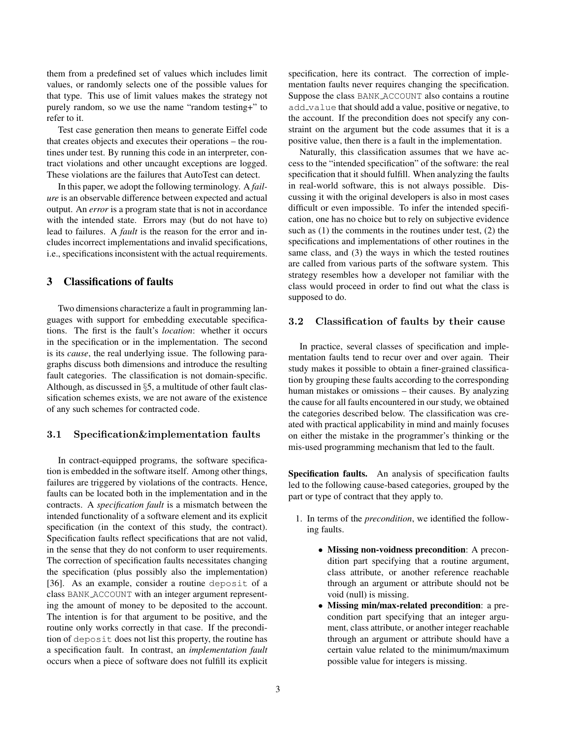them from a predefined set of values which includes limit values, or randomly selects one of the possible values for that type. This use of limit values makes the strategy not purely random, so we use the name "random testing+" to refer to it.

Test case generation then means to generate Eiffel code that creates objects and executes their operations – the routines under test. By running this code in an interpreter, contract violations and other uncaught exceptions are logged. These violations are the failures that AutoTest can detect.

In this paper, we adopt the following terminology. A *failure* is an observable difference between expected and actual output. An *error* is a program state that is not in accordance with the intended state. Errors may (but do not have to) lead to failures. A *fault* is the reason for the error and includes incorrect implementations and invalid specifications, i.e., specifications inconsistent with the actual requirements.

## 3 Classifications of faults

Two dimensions characterize a fault in programming languages with support for embedding executable specifications. The first is the fault's *location*: whether it occurs in the specification or in the implementation. The second is its *cause*, the real underlying issue. The following paragraphs discuss both dimensions and introduce the resulting fault categories. The classification is not domain-specific. Although, as discussed in §5, a multitude of other fault classification schemes exists, we are not aware of the existence of any such schemes for contracted code.

### 3.1 Specification&implementation faults

In contract-equipped programs, the software specification is embedded in the software itself. Among other things, failures are triggered by violations of the contracts. Hence, faults can be located both in the implementation and in the contracts. A *specification fault* is a mismatch between the intended functionality of a software element and its explicit specification (in the context of this study, the contract). Specification faults reflect specifications that are not valid, in the sense that they do not conform to user requirements. The correction of specification faults necessitates changing the specification (plus possibly also the implementation) [36]. As an example, consider a routine deposit of a class BANK ACCOUNT with an integer argument representing the amount of money to be deposited to the account. The intention is for that argument to be positive, and the routine only works correctly in that case. If the precondition of deposit does not list this property, the routine has a specification fault. In contrast, an *implementation fault* occurs when a piece of software does not fulfill its explicit

specification, here its contract. The correction of implementation faults never requires changing the specification. Suppose the class BANK ACCOUNT also contains a routine add value that should add a value, positive or negative, to the account. If the precondition does not specify any constraint on the argument but the code assumes that it is a positive value, then there is a fault in the implementation.

Naturally, this classification assumes that we have access to the "intended specification" of the software: the real specification that it should fulfill. When analyzing the faults in real-world software, this is not always possible. Discussing it with the original developers is also in most cases difficult or even impossible. To infer the intended specification, one has no choice but to rely on subjective evidence such as (1) the comments in the routines under test, (2) the specifications and implementations of other routines in the same class, and (3) the ways in which the tested routines are called from various parts of the software system. This strategy resembles how a developer not familiar with the class would proceed in order to find out what the class is supposed to do.

#### 3.2 Classification of faults by their cause

In practice, several classes of specification and implementation faults tend to recur over and over again. Their study makes it possible to obtain a finer-grained classification by grouping these faults according to the corresponding human mistakes or omissions – their causes. By analyzing the cause for all faults encountered in our study, we obtained the categories described below. The classification was created with practical applicability in mind and mainly focuses on either the mistake in the programmer's thinking or the mis-used programming mechanism that led to the fault.

Specification faults. An analysis of specification faults led to the following cause-based categories, grouped by the part or type of contract that they apply to.

- 1. In terms of the *precondition*, we identified the following faults.
	- Missing non-voidness precondition: A precondition part specifying that a routine argument, class attribute, or another reference reachable through an argument or attribute should not be void (null) is missing.
	- Missing min/max-related precondition: a precondition part specifying that an integer argument, class attribute, or another integer reachable through an argument or attribute should have a certain value related to the minimum/maximum possible value for integers is missing.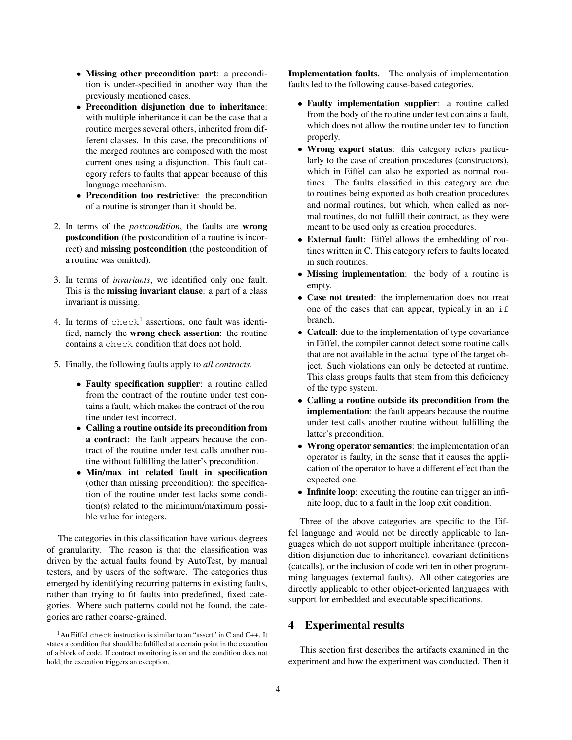- Missing other precondition part: a precondition is under-specified in another way than the previously mentioned cases.
- Precondition disjunction due to inheritance: with multiple inheritance it can be the case that a routine merges several others, inherited from different classes. In this case, the preconditions of the merged routines are composed with the most current ones using a disjunction. This fault category refers to faults that appear because of this language mechanism.
- Precondition too restrictive: the precondition of a routine is stronger than it should be.
- 2. In terms of the *postcondition*, the faults are wrong postcondition (the postcondition of a routine is incorrect) and missing postcondition (the postcondition of a routine was omitted).
- 3. In terms of *invariants*, we identified only one fault. This is the missing invariant clause: a part of a class invariant is missing.
- 4. In terms of check<sup>1</sup> assertions, one fault was identified, namely the wrong check assertion: the routine contains a check condition that does not hold.
- 5. Finally, the following faults apply to *all contracts*.
	- Faulty specification supplier: a routine called from the contract of the routine under test contains a fault, which makes the contract of the routine under test incorrect.
	- Calling a routine outside its precondition from a contract: the fault appears because the contract of the routine under test calls another routine without fulfilling the latter's precondition.
	- Min/max int related fault in specification (other than missing precondition): the specification of the routine under test lacks some condition(s) related to the minimum/maximum possible value for integers.

The categories in this classification have various degrees of granularity. The reason is that the classification was driven by the actual faults found by AutoTest, by manual testers, and by users of the software. The categories thus emerged by identifying recurring patterns in existing faults, rather than trying to fit faults into predefined, fixed categories. Where such patterns could not be found, the categories are rather coarse-grained.

Implementation faults. The analysis of implementation faults led to the following cause-based categories.

- Faulty implementation supplier: a routine called from the body of the routine under test contains a fault, which does not allow the routine under test to function properly.
- Wrong export status: this category refers particularly to the case of creation procedures (constructors), which in Eiffel can also be exported as normal routines. The faults classified in this category are due to routines being exported as both creation procedures and normal routines, but which, when called as normal routines, do not fulfill their contract, as they were meant to be used only as creation procedures.
- External fault: Eiffel allows the embedding of routines written in C. This category refers to faults located in such routines.
- Missing implementation: the body of a routine is empty.
- Case not treated: the implementation does not treat one of the cases that can appear, typically in an if branch.
- Catcall: due to the implementation of type covariance in Eiffel, the compiler cannot detect some routine calls that are not available in the actual type of the target object. Such violations can only be detected at runtime. This class groups faults that stem from this deficiency of the type system.
- Calling a routine outside its precondition from the implementation: the fault appears because the routine under test calls another routine without fulfilling the latter's precondition.
- Wrong operator semantics: the implementation of an operator is faulty, in the sense that it causes the application of the operator to have a different effect than the expected one.
- Infinite loop: executing the routine can trigger an infinite loop, due to a fault in the loop exit condition.

Three of the above categories are specific to the Eiffel language and would not be directly applicable to languages which do not support multiple inheritance (precondition disjunction due to inheritance), covariant definitions (catcalls), or the inclusion of code written in other programming languages (external faults). All other categories are directly applicable to other object-oriented languages with support for embedded and executable specifications.

## 4 Experimental results

This section first describes the artifacts examined in the experiment and how the experiment was conducted. Then it

<sup>&</sup>lt;sup>1</sup>An Eiffel check instruction is similar to an "assert" in C and C++. It states a condition that should be fulfilled at a certain point in the execution of a block of code. If contract monitoring is on and the condition does not hold, the execution triggers an exception.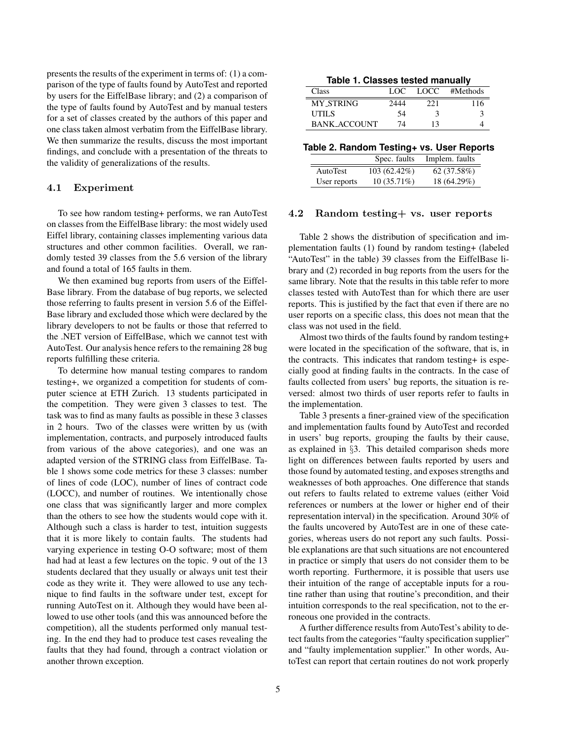presents the results of the experiment in terms of: (1) a comparison of the type of faults found by AutoTest and reported by users for the EiffelBase library; and (2) a comparison of the type of faults found by AutoTest and by manual testers for a set of classes created by the authors of this paper and one class taken almost verbatim from the EiffelBase library. We then summarize the results, discuss the most important findings, and conclude with a presentation of the threats to the validity of generalizations of the results.

## 4.1 Experiment

To see how random testing+ performs, we ran AutoTest on classes from the EiffelBase library: the most widely used Eiffel library, containing classes implementing various data structures and other common facilities. Overall, we randomly tested 39 classes from the 5.6 version of the library and found a total of 165 faults in them.

We then examined bug reports from users of the Eiffel-Base library. From the database of bug reports, we selected those referring to faults present in version 5.6 of the Eiffel-Base library and excluded those which were declared by the library developers to not be faults or those that referred to the .NET version of EiffelBase, which we cannot test with AutoTest. Our analysis hence refers to the remaining 28 bug reports fulfilling these criteria.

To determine how manual testing compares to random testing+, we organized a competition for students of computer science at ETH Zurich. 13 students participated in the competition. They were given 3 classes to test. The task was to find as many faults as possible in these 3 classes in 2 hours. Two of the classes were written by us (with implementation, contracts, and purposely introduced faults from various of the above categories), and one was an adapted version of the STRING class from EiffelBase. Table 1 shows some code metrics for these 3 classes: number of lines of code (LOC), number of lines of contract code (LOCC), and number of routines. We intentionally chose one class that was significantly larger and more complex than the others to see how the students would cope with it. Although such a class is harder to test, intuition suggests that it is more likely to contain faults. The students had varying experience in testing O-O software; most of them had had at least a few lectures on the topic. 9 out of the 13 students declared that they usually or always unit test their code as they write it. They were allowed to use any technique to find faults in the software under test, except for running AutoTest on it. Although they would have been allowed to use other tools (and this was announced before the competition), all the students performed only manual testing. In the end they had to produce test cases revealing the faults that they had found, through a contract violation or another thrown exception.

|  |  |  |  | Table 1. Classes tested manually |  |
|--|--|--|--|----------------------------------|--|
|--|--|--|--|----------------------------------|--|

| Class               | LOC. | LOCC. | #Methods |
|---------------------|------|-------|----------|
| <b>MY_STRING</b>    | 2444 | 221   | 116      |
| UTH S               | 54   |       |          |
| <b>BANK ACCOUNT</b> | 74   | 13    |          |

**Table 2. Random Testing+ vs. User Reports**

|              | Spec. faults  | Implem. faults |
|--------------|---------------|----------------|
| AutoTest     | 103 (62.42%)  | 62(37.58%)     |
| User reports | $10(35.71\%)$ | 18 (64.29%)    |

#### 4.2 Random testing+ vs. user reports

Table 2 shows the distribution of specification and implementation faults (1) found by random testing+ (labeled "AutoTest" in the table) 39 classes from the EiffelBase library and (2) recorded in bug reports from the users for the same library. Note that the results in this table refer to more classes tested with AutoTest than for which there are user reports. This is justified by the fact that even if there are no user reports on a specific class, this does not mean that the class was not used in the field.

Almost two thirds of the faults found by random testing+ were located in the specification of the software, that is, in the contracts. This indicates that random testing+ is especially good at finding faults in the contracts. In the case of faults collected from users' bug reports, the situation is reversed: almost two thirds of user reports refer to faults in the implementation.

Table 3 presents a finer-grained view of the specification and implementation faults found by AutoTest and recorded in users' bug reports, grouping the faults by their cause, as explained in §3. This detailed comparison sheds more light on differences between faults reported by users and those found by automated testing, and exposes strengths and weaknesses of both approaches. One difference that stands out refers to faults related to extreme values (either Void references or numbers at the lower or higher end of their representation interval) in the specification. Around 30% of the faults uncovered by AutoTest are in one of these categories, whereas users do not report any such faults. Possible explanations are that such situations are not encountered in practice or simply that users do not consider them to be worth reporting. Furthermore, it is possible that users use their intuition of the range of acceptable inputs for a routine rather than using that routine's precondition, and their intuition corresponds to the real specification, not to the erroneous one provided in the contracts.

A further difference results from AutoTest's ability to detect faults from the categories "faulty specification supplier" and "faulty implementation supplier." In other words, AutoTest can report that certain routines do not work properly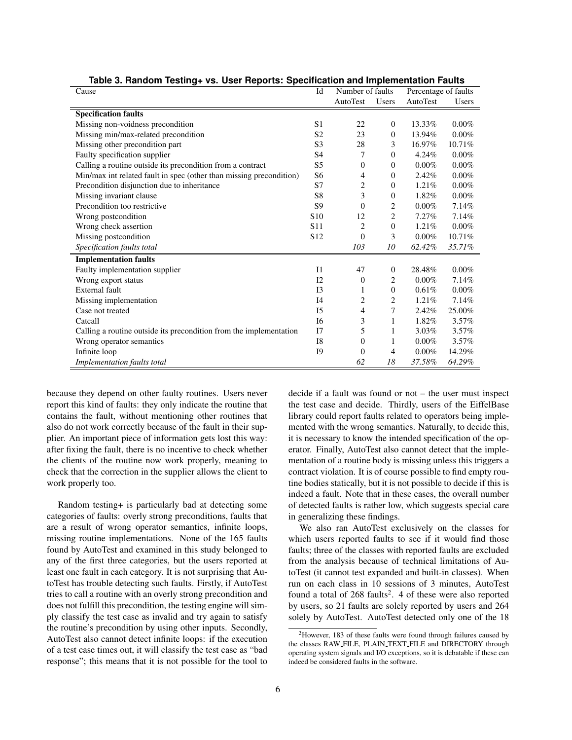| Cause                                                               | Id              | Number of faults |              | Percentage of faults |              |
|---------------------------------------------------------------------|-----------------|------------------|--------------|----------------------|--------------|
|                                                                     |                 | AutoTest         | <b>Users</b> | AutoTest             | <b>Users</b> |
| <b>Specification faults</b>                                         |                 |                  |              |                      |              |
| Missing non-voidness precondition                                   | S <sub>1</sub>  | 22               | $\mathbf{0}$ | 13.33%               | $0.00\%$     |
| Missing min/max-related precondition                                | S <sub>2</sub>  | 23               | $\mathbf{0}$ | 13.94%               | $0.00\%$     |
| Missing other precondition part                                     | S <sub>3</sub>  | 28               | 3            | 16.97%               | 10.71%       |
| Faulty specification supplier                                       | S <sub>4</sub>  | 7                | $\mathbf{0}$ | 4.24%                | $0.00\%$     |
| Calling a routine outside its precondition from a contract          | S5              | $\Omega$         | $\Omega$     | $0.00\%$             | $0.00\%$     |
| Min/max int related fault in spec (other than missing precondition) | S <sub>6</sub>  | 4                | $\mathbf{0}$ | 2.42%                | 0.00%        |
| Precondition disjunction due to inheritance                         | S7              | 2                | $\mathbf{0}$ | 1.21%                | $0.00\%$     |
| Missing invariant clause                                            | S8              | 3                | $\Omega$     | 1.82%                | $0.00\%$     |
| Precondition too restrictive                                        | S <sub>9</sub>  | $\theta$         | 2            | $0.00\%$             | 7.14%        |
| Wrong postcondition                                                 | S <sub>10</sub> | 12               | 2            | 7.27%                | 7.14%        |
| Wrong check assertion                                               | S <sub>11</sub> | 2                | $\Omega$     | 1.21%                | 0.00%        |
| Missing postcondition                                               | S <sub>12</sub> | $\theta$         | 3            | $0.00\%$             | 10.71%       |
| Specification faults total                                          |                 | 103              | 10           | 62.42%               | 35.71%       |
| <b>Implementation faults</b>                                        |                 |                  |              |                      |              |
| Faulty implementation supplier                                      | I <sub>1</sub>  | 47               | $\mathbf{0}$ | 28.48%               | $0.00\%$     |
| Wrong export status                                                 | 12              | 0                | 2            | $0.00\%$             | 7.14%        |
| <b>External</b> fault                                               | I <sub>3</sub>  | 1                | $\mathbf{0}$ | 0.61%                | $0.00\%$     |
| Missing implementation                                              | I <sub>4</sub>  | 2                | 2            | 1.21%                | 7.14%        |
| Case not treated                                                    | I5              | 4                | 7            | 2.42%                | 25.00%       |
| Catcall                                                             | I6              | 3                | 1            | 1.82%                | 3.57%        |
| Calling a routine outside its precondition from the implementation  | I7              | 5                | 1            | 3.03%                | 3.57%        |
| Wrong operator semantics                                            | I8              | $\overline{0}$   | 1            | $0.00\%$             | 3.57%        |
| Infinite loop                                                       | I <sub>9</sub>  | $\theta$         | 4            | $0.00\%$             | 14.29%       |
| Implementation faults total                                         |                 | 62               | 18           | 37.58%               | 64.29%       |

because they depend on other faulty routines. Users never report this kind of faults: they only indicate the routine that contains the fault, without mentioning other routines that also do not work correctly because of the fault in their supplier. An important piece of information gets lost this way: after fixing the fault, there is no incentive to check whether the clients of the routine now work properly, meaning to check that the correction in the supplier allows the client to work properly too.

Random testing+ is particularly bad at detecting some categories of faults: overly strong preconditions, faults that are a result of wrong operator semantics, infinite loops, missing routine implementations. None of the 165 faults found by AutoTest and examined in this study belonged to any of the first three categories, but the users reported at least one fault in each category. It is not surprising that AutoTest has trouble detecting such faults. Firstly, if AutoTest tries to call a routine with an overly strong precondition and does not fulfill this precondition, the testing engine will simply classify the test case as invalid and try again to satisfy the routine's precondition by using other inputs. Secondly, AutoTest also cannot detect infinite loops: if the execution of a test case times out, it will classify the test case as "bad response"; this means that it is not possible for the tool to

decide if a fault was found or not – the user must inspect the test case and decide. Thirdly, users of the EiffelBase library could report faults related to operators being implemented with the wrong semantics. Naturally, to decide this, it is necessary to know the intended specification of the operator. Finally, AutoTest also cannot detect that the implementation of a routine body is missing unless this triggers a contract violation. It is of course possible to find empty routine bodies statically, but it is not possible to decide if this is indeed a fault. Note that in these cases, the overall number of detected faults is rather low, which suggests special care in generalizing these findings.

We also ran AutoTest exclusively on the classes for which users reported faults to see if it would find those faults; three of the classes with reported faults are excluded from the analysis because of technical limitations of AutoTest (it cannot test expanded and built-in classes). When run on each class in 10 sessions of 3 minutes, AutoTest found a total of 268 faults<sup>2</sup>. 4 of these were also reported by users, so 21 faults are solely reported by users and 264 solely by AutoTest. AutoTest detected only one of the 18

<sup>2</sup>However, 183 of these faults were found through failures caused by the classes RAW FILE, PLAIN TEXT FILE and DIRECTORY through operating system signals and I/O exceptions, so it is debatable if these can indeed be considered faults in the software.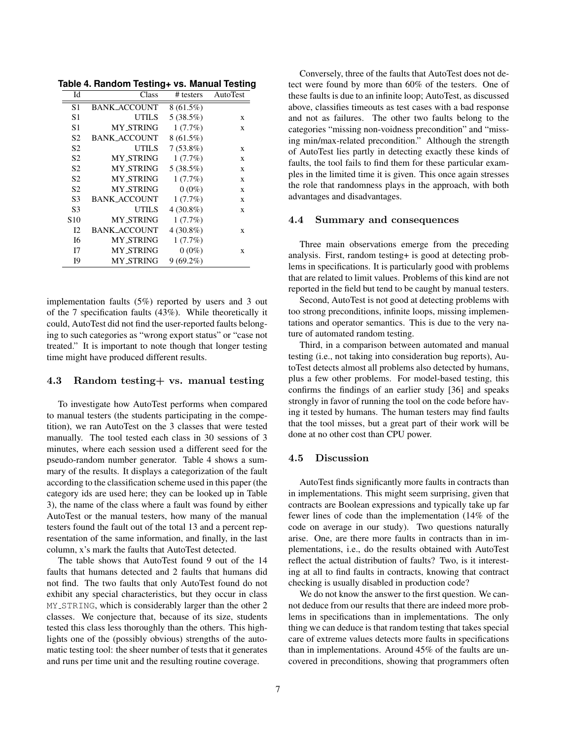**Table 4. Random Testing+ vs. Manual Testing**

| Id              | Class               | # testers   | AutoTest |
|-----------------|---------------------|-------------|----------|
| S1              | <b>BANK_ACCOUNT</b> | $8(61.5\%)$ |          |
| S1              | <b>UTILS</b>        | 5(38.5%)    | X        |
| S1              | <b>MY_STRING</b>    | $1(7.7\%)$  | X        |
| S <sub>2</sub>  | <b>BANK_ACCOUNT</b> | $8(61.5\%)$ |          |
| S <sub>2</sub>  | <b>UTILS</b>        | $7(53.8\%)$ | X        |
| S <sub>2</sub>  | <b>MY STRING</b>    | 1(7.7%)     | X        |
| S2              | <b>MY_STRING</b>    | 5(38.5%)    | X        |
| S <sub>2</sub>  | <b>MY_STRING</b>    | 1(7.7%)     | X        |
| S <sub>2</sub>  | <b>MY_STRING</b>    | $0(0\%)$    | X        |
| S <sub>3</sub>  | <b>BANK ACCOUNT</b> | $1(7.7\%)$  | X        |
| S3              | <b>UTILS</b>        | $4(30.8\%)$ | X        |
| S <sub>10</sub> | <b>MY_STRING</b>    | $1(7.7\%)$  |          |
| 12              | BANK_ACCOUNT        | $4(30.8\%)$ | X        |
| 16              | <b>MY_STRING</b>    | 1(7.7%)     |          |
| 17              | <b>MY STRING</b>    | $0(0\%)$    | X        |
| 19              | <b>MY_STRING</b>    | $9(69.2\%)$ |          |

implementation faults (5%) reported by users and 3 out of the 7 specification faults (43%). While theoretically it could, AutoTest did not find the user-reported faults belonging to such categories as "wrong export status" or "case not treated." It is important to note though that longer testing time might have produced different results.

## 4.3 Random testing+ vs. manual testing

To investigate how AutoTest performs when compared to manual testers (the students participating in the competition), we ran AutoTest on the 3 classes that were tested manually. The tool tested each class in 30 sessions of 3 minutes, where each session used a different seed for the pseudo-random number generator. Table 4 shows a summary of the results. It displays a categorization of the fault according to the classification scheme used in this paper (the category ids are used here; they can be looked up in Table 3), the name of the class where a fault was found by either AutoTest or the manual testers, how many of the manual testers found the fault out of the total 13 and a percent representation of the same information, and finally, in the last column, x's mark the faults that AutoTest detected.

The table shows that AutoTest found 9 out of the 14 faults that humans detected and 2 faults that humans did not find. The two faults that only AutoTest found do not exhibit any special characteristics, but they occur in class MY\_STRING, which is considerably larger than the other 2 classes. We conjecture that, because of its size, students tested this class less thoroughly than the others. This highlights one of the (possibly obvious) strengths of the automatic testing tool: the sheer number of tests that it generates and runs per time unit and the resulting routine coverage.

Conversely, three of the faults that AutoTest does not detect were found by more than 60% of the testers. One of these faults is due to an infinite loop; AutoTest, as discussed above, classifies timeouts as test cases with a bad response and not as failures. The other two faults belong to the categories "missing non-voidness precondition" and "missing min/max-related precondition." Although the strength of AutoTest lies partly in detecting exactly these kinds of faults, the tool fails to find them for these particular examples in the limited time it is given. This once again stresses the role that randomness plays in the approach, with both advantages and disadvantages.

#### 4.4 Summary and consequences

Three main observations emerge from the preceding analysis. First, random testing+ is good at detecting problems in specifications. It is particularly good with problems that are related to limit values. Problems of this kind are not reported in the field but tend to be caught by manual testers.

Second, AutoTest is not good at detecting problems with too strong preconditions, infinite loops, missing implementations and operator semantics. This is due to the very nature of automated random testing.

Third, in a comparison between automated and manual testing (i.e., not taking into consideration bug reports), AutoTest detects almost all problems also detected by humans, plus a few other problems. For model-based testing, this confirms the findings of an earlier study [36] and speaks strongly in favor of running the tool on the code before having it tested by humans. The human testers may find faults that the tool misses, but a great part of their work will be done at no other cost than CPU power.

#### 4.5 Discussion

AutoTest finds significantly more faults in contracts than in implementations. This might seem surprising, given that contracts are Boolean expressions and typically take up far fewer lines of code than the implementation (14% of the code on average in our study). Two questions naturally arise. One, are there more faults in contracts than in implementations, i.e., do the results obtained with AutoTest reflect the actual distribution of faults? Two, is it interesting at all to find faults in contracts, knowing that contract checking is usually disabled in production code?

We do not know the answer to the first question. We cannot deduce from our results that there are indeed more problems in specifications than in implementations. The only thing we can deduce is that random testing that takes special care of extreme values detects more faults in specifications than in implementations. Around 45% of the faults are uncovered in preconditions, showing that programmers often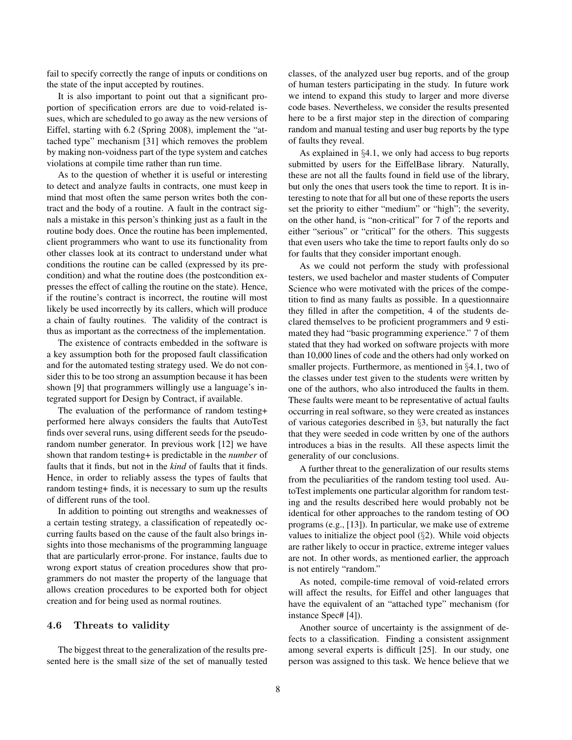fail to specify correctly the range of inputs or conditions on the state of the input accepted by routines.

It is also important to point out that a significant proportion of specification errors are due to void-related issues, which are scheduled to go away as the new versions of Eiffel, starting with 6.2 (Spring 2008), implement the "attached type" mechanism [31] which removes the problem by making non-voidness part of the type system and catches violations at compile time rather than run time.

As to the question of whether it is useful or interesting to detect and analyze faults in contracts, one must keep in mind that most often the same person writes both the contract and the body of a routine. A fault in the contract signals a mistake in this person's thinking just as a fault in the routine body does. Once the routine has been implemented, client programmers who want to use its functionality from other classes look at its contract to understand under what conditions the routine can be called (expressed by its precondition) and what the routine does (the postcondition expresses the effect of calling the routine on the state). Hence, if the routine's contract is incorrect, the routine will most likely be used incorrectly by its callers, which will produce a chain of faulty routines. The validity of the contract is thus as important as the correctness of the implementation.

The existence of contracts embedded in the software is a key assumption both for the proposed fault classification and for the automated testing strategy used. We do not consider this to be too strong an assumption because it has been shown [9] that programmers willingly use a language's integrated support for Design by Contract, if available.

The evaluation of the performance of random testing+ performed here always considers the faults that AutoTest finds over several runs, using different seeds for the pseudorandom number generator. In previous work [12] we have shown that random testing+ is predictable in the *number* of faults that it finds, but not in the *kind* of faults that it finds. Hence, in order to reliably assess the types of faults that random testing+ finds, it is necessary to sum up the results of different runs of the tool.

In addition to pointing out strengths and weaknesses of a certain testing strategy, a classification of repeatedly occurring faults based on the cause of the fault also brings insights into those mechanisms of the programming language that are particularly error-prone. For instance, faults due to wrong export status of creation procedures show that programmers do not master the property of the language that allows creation procedures to be exported both for object creation and for being used as normal routines.

#### 4.6 Threats to validity

The biggest threat to the generalization of the results presented here is the small size of the set of manually tested classes, of the analyzed user bug reports, and of the group of human testers participating in the study. In future work we intend to expand this study to larger and more diverse code bases. Nevertheless, we consider the results presented here to be a first major step in the direction of comparing random and manual testing and user bug reports by the type of faults they reveal.

As explained in §4.1, we only had access to bug reports submitted by users for the EiffelBase library. Naturally, these are not all the faults found in field use of the library, but only the ones that users took the time to report. It is interesting to note that for all but one of these reports the users set the priority to either "medium" or "high"; the severity, on the other hand, is "non-critical" for 7 of the reports and either "serious" or "critical" for the others. This suggests that even users who take the time to report faults only do so for faults that they consider important enough.

As we could not perform the study with professional testers, we used bachelor and master students of Computer Science who were motivated with the prices of the competition to find as many faults as possible. In a questionnaire they filled in after the competition, 4 of the students declared themselves to be proficient programmers and 9 estimated they had "basic programming experience." 7 of them stated that they had worked on software projects with more than 10,000 lines of code and the others had only worked on smaller projects. Furthermore, as mentioned in §4.1, two of the classes under test given to the students were written by one of the authors, who also introduced the faults in them. These faults were meant to be representative of actual faults occurring in real software, so they were created as instances of various categories described in §3, but naturally the fact that they were seeded in code written by one of the authors introduces a bias in the results. All these aspects limit the generality of our conclusions.

A further threat to the generalization of our results stems from the peculiarities of the random testing tool used. AutoTest implements one particular algorithm for random testing and the results described here would probably not be identical for other approaches to the random testing of OO programs (e.g., [13]). In particular, we make use of extreme values to initialize the object pool (§2). While void objects are rather likely to occur in practice, extreme integer values are not. In other words, as mentioned earlier, the approach is not entirely "random."

As noted, compile-time removal of void-related errors will affect the results, for Eiffel and other languages that have the equivalent of an "attached type" mechanism (for instance Spec# [4]).

Another source of uncertainty is the assignment of defects to a classification. Finding a consistent assignment among several experts is difficult [25]. In our study, one person was assigned to this task. We hence believe that we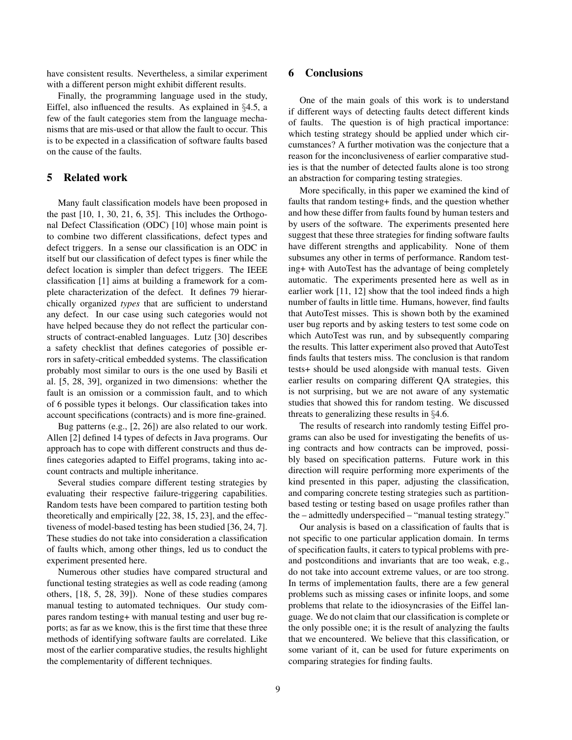have consistent results. Nevertheless, a similar experiment with a different person might exhibit different results.

Finally, the programming language used in the study, Eiffel, also influenced the results. As explained in §4.5, a few of the fault categories stem from the language mechanisms that are mis-used or that allow the fault to occur. This is to be expected in a classification of software faults based on the cause of the faults.

# 5 Related work

Many fault classification models have been proposed in the past  $[10, 1, 30, 21, 6, 35]$ . This includes the Orthogonal Defect Classification (ODC) [10] whose main point is to combine two different classifications, defect types and defect triggers. In a sense our classification is an ODC in itself but our classification of defect types is finer while the defect location is simpler than defect triggers. The IEEE classification [1] aims at building a framework for a complete characterization of the defect. It defines 79 hierarchically organized *types* that are sufficient to understand any defect. In our case using such categories would not have helped because they do not reflect the particular constructs of contract-enabled languages. Lutz [30] describes a safety checklist that defines categories of possible errors in safety-critical embedded systems. The classification probably most similar to ours is the one used by Basili et al. [5, 28, 39], organized in two dimensions: whether the fault is an omission or a commission fault, and to which of 6 possible types it belongs. Our classification takes into account specifications (contracts) and is more fine-grained.

Bug patterns (e.g., [2, 26]) are also related to our work. Allen [2] defined 14 types of defects in Java programs. Our approach has to cope with different constructs and thus defines categories adapted to Eiffel programs, taking into account contracts and multiple inheritance.

Several studies compare different testing strategies by evaluating their respective failure-triggering capabilities. Random tests have been compared to partition testing both theoretically and empirically [22, 38, 15, 23], and the effectiveness of model-based testing has been studied [36, 24, 7]. These studies do not take into consideration a classification of faults which, among other things, led us to conduct the experiment presented here.

Numerous other studies have compared structural and functional testing strategies as well as code reading (among others, [18, 5, 28, 39]). None of these studies compares manual testing to automated techniques. Our study compares random testing+ with manual testing and user bug reports; as far as we know, this is the first time that these three methods of identifying software faults are correlated. Like most of the earlier comparative studies, the results highlight the complementarity of different techniques.

## 6 Conclusions

One of the main goals of this work is to understand if different ways of detecting faults detect different kinds of faults. The question is of high practical importance: which testing strategy should be applied under which circumstances? A further motivation was the conjecture that a reason for the inconclusiveness of earlier comparative studies is that the number of detected faults alone is too strong an abstraction for comparing testing strategies.

More specifically, in this paper we examined the kind of faults that random testing+ finds, and the question whether and how these differ from faults found by human testers and by users of the software. The experiments presented here suggest that these three strategies for finding software faults have different strengths and applicability. None of them subsumes any other in terms of performance. Random testing+ with AutoTest has the advantage of being completely automatic. The experiments presented here as well as in earlier work [11, 12] show that the tool indeed finds a high number of faults in little time. Humans, however, find faults that AutoTest misses. This is shown both by the examined user bug reports and by asking testers to test some code on which AutoTest was run, and by subsequently comparing the results. This latter experiment also proved that AutoTest finds faults that testers miss. The conclusion is that random tests+ should be used alongside with manual tests. Given earlier results on comparing different QA strategies, this is not surprising, but we are not aware of any systematic studies that showed this for random testing. We discussed threats to generalizing these results in §4.6.

The results of research into randomly testing Eiffel programs can also be used for investigating the benefits of using contracts and how contracts can be improved, possibly based on specification patterns. Future work in this direction will require performing more experiments of the kind presented in this paper, adjusting the classification, and comparing concrete testing strategies such as partitionbased testing or testing based on usage profiles rather than the – admittedly underspecified – "manual testing strategy."

Our analysis is based on a classification of faults that is not specific to one particular application domain. In terms of specification faults, it caters to typical problems with preand postconditions and invariants that are too weak, e.g., do not take into account extreme values, or are too strong. In terms of implementation faults, there are a few general problems such as missing cases or infinite loops, and some problems that relate to the idiosyncrasies of the Eiffel language. We do not claim that our classification is complete or the only possible one; it is the result of analyzing the faults that we encountered. We believe that this classification, or some variant of it, can be used for future experiments on comparing strategies for finding faults.